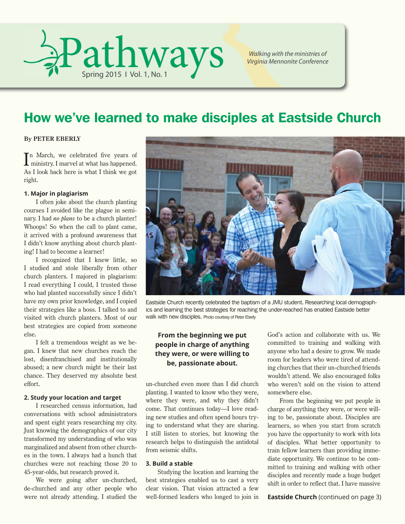

*Walking with the ministries of Virginia Mennonite Conference*

### How we've learned to make disciples at Eastside Church

#### **By PETER EBERLY**

In March, we celebrated five years of ministry. I marvel at what has happened. **T**n March, we celebrated five years of As I look back here is what I think we got right.

#### **1. Major in plagiarism**

I often joke about the church planting courses I avoided like the plague in seminary. I had *no plans* to be a church planter! Whoops! So when the call to plant came, it arrived with a profound awareness that I didn't know anything about church planting! I had to become a learner!

I recognized that I knew little, so I studied and stole liberally from other church planters. I majored in plagiarism: I read everything I could, I trusted those who had planted successfully since I didn't have my own prior knowledge, and I copied their strategies like a boss. I talked to and visited with church planters. Most of our best strategies are copied from someone else.

I felt a tremendous weight as we began. I knew that new churches reach the lost, disenfranchised and institutionally abused; a new church might be their last chance. They deserved my absolute best effort.

#### **2. Study your location and target**

I researched census information, had conversations with school administrators and spent eight years researching my city. Just knowing the demographics of our city transformed my understanding of who was marginalized and absent from other churches in the town. I always had a hunch that churches were not reaching those 20 to 45-year-olds, but research proved it.

We were going after un-churched, de-churched and any other people who were not already attending. I studied the



Eastside Church recently celebrated the baptism of a JMU student. Researching local demographics and learning the best strategies for reaching the under-reached has enabled Eastside better walk with new disciples. Photo courtesy of Peter Eberly

#### **From the beginning we put people in charge of anything they were, or were willing to be, passionate about.**

un-churched even more than I did church planting. I wanted to know who they were, where they were, and why they didn't come. That continues today—I love reading new studies and often spend hours trying to understand what they are sharing. I still listen to stories, but knowing the research helps to distinguish the antidotal from seismic shifts.

#### **3. Build a stable**

Studying the location and learning the best strategies enabled us to cast a very clear vision. That vision attracted a few well-formed leaders who longed to join in

God's action and collaborate with us. We committed to training and walking with anyone who had a desire to grow. We made room for leaders who were tired of attending churches that their un-churched friends wouldn't attend. We also encouraged folks who weren't sold on the vision to attend somewhere else.

From the beginning we put people in charge of anything they were, or were willing to be, passionate about. Disciples are learners, so when you start from scratch you have the opportunity to work with lots of disciples. What better opportunity to train fellow learners than providing immediate opportunity. We continue to be committed to training and walking with other disciples and recently made a huge budget shift in order to reflect that. I have massive

**Eastside Church** (continued on page 3)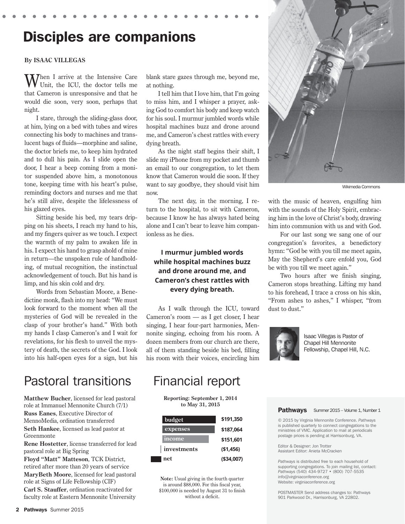### Disciples are companions

#### **By ISAAC VILLEGAS**

Then I arrive at the Intensive Care Unit, the ICU, the doctor tells me that Cameron is unresponsive and that he would die soon, very soon, perhaps that night.

I stare, through the sliding-glass door, at him, lying on a bed with tubes and wires connecting his body to machines and translucent bags of fluids—morphine and saline, the doctor briefs me, to keep him hydrated and to dull his pain. As I slide open the door, I hear a beep coming from a monitor suspended above him, a monotonous tone, keeping time with his heart's pulse, reminding doctors and nurses and me that he's still alive, despite the lifelessness of his glazed eyes.

Sitting beside his bed, my tears dripping on his sheets, I reach my hand to his, and my fingers quiver as we touch. I expect the warmth of my palm to awaken life in his. I expect his hand to grasp ahold of mine in return—the unspoken rule of handholding, of mutual recognition, the instinctual acknowledgement of touch. But his hand is limp, and his skin cold and dry.

Words from Sebastian Moore, a Benedictine monk, flash into my head: "We must look forward to the moment when all the mysteries of God will be revealed in the clasp of your brother's hand." With both my hands I clasp Cameron's and I wait for revelations, for his flesh to unveil the mystery of death, the secrets of the God. I look into his half-open eyes for a sign, but his

### Pastoral transitions Financial report

**Matthew Bucher**, licensed for lead pastoral role at Immanuel Mennonite Church (7/1)

**Russ Eanes**, Executive Director of MennoMedia, ordination transferred **Seth Hankee**, licensed as lead pastor at Greenmonte

**Rene Hostetter**, license transferred for lead pastoral role at Big Spring

**Floyd "Matt" Matteson**, TCK District, retired after more than 20 years of service **MaryBeth Moore**, licensed for lead pastoral role at Signs of Life Fellowship (CIF) **Carl S. Stauffer**, ordination reactivated for faculty role at Eastern Mennonite University

blank stare gazes through me, beyond me, at nothing.

I tell him that I love him, that I'm going to miss him, and I whisper a prayer, asking God to comfort his body and keep watch for his soul. I murmur jumbled words while hospital machines buzz and drone around me, and Cameron's chest rattles with every dying breath.

As the night staff begins their shift, I slide my iPhone from my pocket and thumb an email to our congregation, to let them know that Cameron would die soon. If they want to say goodbye, they should visit him now.

The next day, in the morning, I return to the hospital, to sit with Cameron, because I know he has always hated being alone and I can't bear to leave him companionless as he dies.

### **I murmur jumbled words while hospital machines buzz and drone around me, and Cameron's chest rattles with every dying breath.**

As I walk through the ICU, toward Cameron's room — as I get closer, I hear singing, I hear four-part harmonies, Mennonite singing, echoing from his room. A dozen members from our church are there, all of them standing beside his bed, filling his room with their voices, encircling him

**Reporting: September 1, 2014 to May 31, 2015**

| budget      | \$191,350   |
|-------------|-------------|
| expenses    | \$187,064   |
| income      | \$151,601   |
| investments | (\$1,456)   |
| net         | ( \$34,007) |

**Note:** Usual giving in the fourth quarter is around \$88,000. For this fiscal year, \$100,000 is needed by August 31 to finish without a deficit.



Wikimedia Commons

with the music of heaven, engulfing him with the sounds of the Holy Spirit, embracing him in the love of Christ's body, drawing him into communion with us and with God.

For our last song we sang one of our congregation's favorites, a benedictory hymn: "God be with you till me meet again, May the Shepherd's care enfold you, God be with you till we meet again."

Two hours after we finish singing, Cameron stops breathing. Lifting my hand to his forehead, I trace a cross on his skin, "From ashes to ashes," I whisper, "from dust to dust."



Isaac Villegas is Pastor of Chapel Hill Mennonite Fellowship, Chapel Hill, N.C.

#### Pathways Summer 2015 – Volume 1, Number 1

© 2015 by Virginia Mennonite Conference. *Pathways* is published quarterly to connect congregations to the ministries of VMC. Application to mail at periodicals postage prices is pending at Harrisonburg, VA.

Editor & Designer: Jon Trotter Assistant Editor: Anieta McCracken

*Pathways* is distributed free to each household of supporting congregations. To join mailing list, contact: *Pathways* (540) 434-9727 • (800) 707-5535 info@virginiaconference.org Website: virginiaconference.org

POSTMASTER Send address changes to: Pathways 901 Parkwood Dr., Harrisonburg, VA 22802.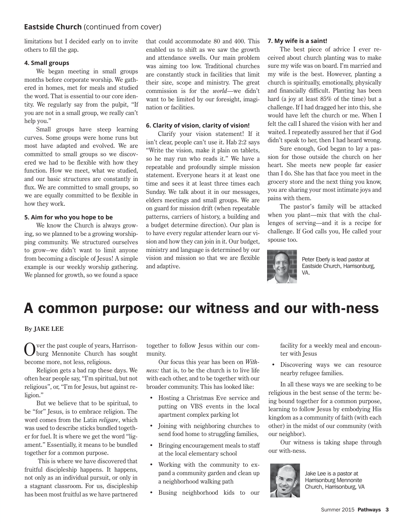#### **Eastside Church** (continued from cover)

limitations but I decided early on to invite others to fill the gap.

#### **4. Small groups**

We began meeting in small groups months before corporate worship. We gathered in homes, met for meals and studied the word. That is essential to our core identity. We regularly say from the pulpit, "If you are not in a small group, we really can't help you."

Small groups have steep learning curves. Some groups were home runs but most have adapted and evolved. We are committed to small groups so we discovered we had to be flexible with how they function. How we meet, what we studied, and our basic structures are constantly in flux. We are committed to small groups, so we are equally committed to be flexible in how they work.

#### **5. Aim for who you hope to be**

We know the Church is always growing, so we planned to be a growing worshipping community. We structured ourselves to grow--we didn't want to limit anyone from becoming a disciple of Jesus! A simple example is our weekly worship gathering. We planned for growth, so we found a space that could accommodate 80 and 400. This enabled us to shift as we saw the growth and attendance swells. Our main problem was aiming too low. Traditional churches are constantly stuck in facilities that limit their size, scope and ministry. The great commission is for the *world*—we didn't want to be limited by our foresight, imagination or facilities.

#### **6. Clarity of vision, clarity of vision!**

Clarify your vision statement! If it isn't clear, people can't use it. Hab 2:2 says "Write the vision, make it plain on tablets, so he may run who reads it." We have a repeatable and profoundly simple mission statement. Everyone hears it at least one time and sees it at least three times each Sunday. We talk about it in our messages, elders meetings and small groups. We are on guard for mission drift (when repeatable patterns, carriers of history, a building and a budget determine direction). Our plan is to have every regular attender learn our vision and how they can join in it. Our budget, ministry and language is determined by our vision and mission so that we are flexible and adaptive.

#### **7. My wife is a saint!**

The best piece of advice I ever received about church planting was to make sure my wife was on board. I'm married and my wife is the best. However, planting a church is spiritually, emotionally, physically and financially difficult. Planting has been hard (a joy at least 85% of the time) but a challenge. If I had dragged her into this, she would have left the church or me. When I felt the call I shared the vision with her and waited. I repeatedly assured her that if God didn't speak to her, then I had heard wrong.

Sure enough, God began to lay a passion for those outside the church on her heart. She meets new people far easier than I do. She has that face you meet in the grocery store and the next thing you know, you are sharing your most intimate joys and pains with them.

The pastor's family will be attacked when you plant—mix that with the challenges of serving—and it is a recipe for challenge. If God calls you, He called your spouse too.



Peter Eberly is lead pastor at Eastside Church, Harrisonburg, VA.

### A common purpose: our witness and our with-ness

#### **By JAKE LEE**

Over the past couple of years, Harrison-burg Mennonite Church has sought become more, not less, religious.

Religion gets a bad rap these days. We often hear people say, "I'm spiritual, but not religious", or, "I'm for Jesus, but against religion."

But we believe that to be spiritual, to be "for" Jesus, is to embrace religion. The word comes from the Latin *religare*, which was used to describe sticks bundled together for fuel. It is where we get the word "ligament." Essentially, it means to be bundled together for a common purpose.

 This is where we have discovered that fruitful discipleship happens. It happens, not only as an individual pursuit, or only in a stagnant classroom. For us, discipleship has been most fruitful as we have partnered

together to follow Jesus within our community.

Our focus this year has been on *Withness:* that is, to be the church is to live life with each other, and to be together with our broader community. This has looked like:

- Hosting a Christmas Eve service and putting on VBS events in the local apartment complex parking lot
- Joining with neighboring churches to send food home to struggling families,
- Bringing encouragement meals to staff at the local elementary school
- Working with the community to expand a community garden and clean up a neighborhood walking path
- Busing neighborhood kids to our

facility for a weekly meal and encounter with Jesus

• Discovering ways we can resource nearby refugee families.

In all these ways we are seeking to be religious in the best sense of the term: being bound together for a common purpose, learning to follow Jesus by embodying His kingdom as a community of faith (with each other) in the midst of our community (with our neighbor).

Our witness is taking shape through our with-ness.



Jake Lee is a pastor at Harrisonburg Mennonite Church, Harrisonburg, VA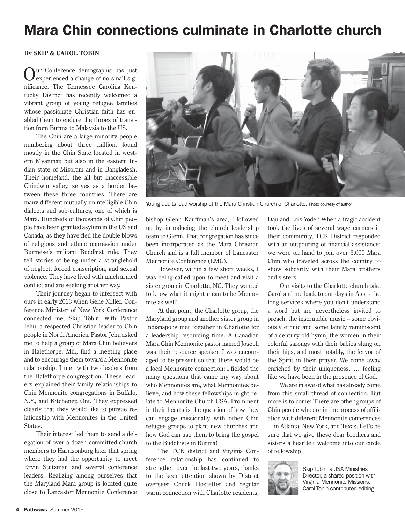# Mara Chin connections culminate in Charlotte church

#### **By SKIP & CAROL TOBIN**

ur Conference demographic has just experienced a change of no small significance. The Tennessee Carolina Kentucky District has recently welcomed a vibrant group of young refugee families whose passionate Christian faith has enabled them to endure the throes of transition from Burma to Malaysia to the US.

The Chin are a large minority people numbering about three million, found mostly in the Chin State located in western Myanmar, but also in the eastern Indian state of Mizoram and in Bangladesh. Their homeland, the all but inaccessible Chindwin valley, serves as a border between these three countries. There are many different mutually unintelligible Chin dialects and sub-cultures, one of which is Mara. Hundreds of thousands of Chin people have been granted asylum in the US and Canada, as they have fled the double blows of religious and ethnic oppression under Burmese's militant Buddhist rule. They tell stories of being under a stranglehold of neglect, forced conscription, and sexual violence. They have lived with much armed conflict and are seeking another way.

Their journey began to intersect with ours in early 2013 when Gene Miller, Conference Minister of New York Conference connected me, Skip Tobin, with Pastor Jehu, a respected Christian leader to Chin people in North America. Pastor Jehu asked me to help a group of Mara Chin believers in Halethorpe, Md., find a meeting place and to encourage them toward a Mennonite relationship. I met with two leaders from the Halethorpe congregation. These leaders explained their family relationships to Chin Mennonite congregations in Buffalo, N.Y., and Kitchener, Ont. They expressed clearly that they would like to pursue relationship with Mennonites in the United States.

Their interest led them to send a delegation of over a dozen committed church members to Harrisonburg later that spring where they had the opportunity to meet Ervin Stutzman and several conference leaders. Realizing among ourselves that the Maryland Mara group is located quite close to Lancaster Mennonite Conference



Young adults lead worship at the Mara Christian Church of Charlotte. Photo courtesy of author

bishop Glenn Kauffman's area, I followed up by introducing the church leadership team to Glenn. That congregation has since been incorporated as the Mara Christian Church and is a full member of Lancaster Mennonite Conference (LMC).

However, within a few short weeks, I was being called upon to meet and visit a sister group in Charlotte, NC. They wanted to know what it might mean to be Mennonite as well!

At that point, the Charlotte group, the Maryland group and another sister group in Indianapolis met together in Charlotte for a leadership resourcing time. A Canadian Mara Chin Mennonite pastor named Joseph was their resource speaker. I was encouraged to be present so that there would be a local Mennonite connection; I fielded the many questions that came my way about who Mennonites are, what Mennonites believe, and how these fellowships might relate to Mennonite Church USA. Prominent in their hearts is the question of how they can engage missionally with other Chin refugee groups to plant new churches and how God can use them to bring the gospel to the Buddhists in Burma!

The TCK district and Virginia Conference relationship has continued to strengthen over the last two years, thanks to the keen attention shown by District overseer Chuck Hostetter and regular warm connection with Charlotte residents,

Dan and Lois Yoder. When a tragic accident took the lives of several wage earners in their community, TCK District responded with an outpouring of financial assistance; we were on hand to join over 3,000 Mara Chin who traveled across the country to show solidarity with their Mara brothers and sisters.

Our visits to the Charlotte church take Carol and me back to our days in Asia - the long services where you don't understand a word but are nevertheless invited to preach, the inscrutable music – some obviously ethnic and some faintly reminiscent of a century old hymn, the women in their colorful sarongs with their babies slung on their hips, and most notably, the fervor of the Spirit in their prayer. We come away enriched by their uniqueness, … feeling like we have been in the presence of God.

We are in awe of what has already come from this small thread of connection. But more is to come: There are other groups of Chin people who are in the process of affiliation with different Mennonite conferences —in Atlanta, New York, and Texas. Let's be sure that we give these dear brothers and sisters a heartfelt welcome into our circle of fellowship!



Skip Tobin is USA Ministries Director, a shared position with Virginia Mennonite Missions. Carol Tobin contributed editing.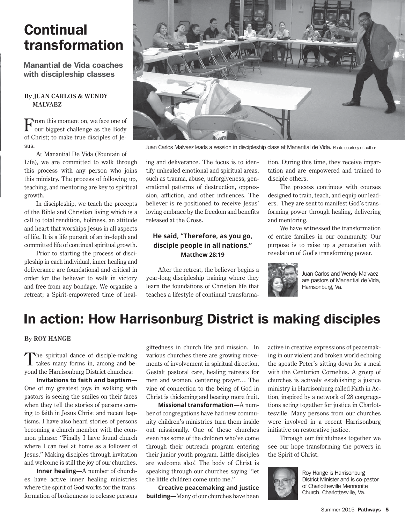# **Continual** transformation

Manantial de Vida coaches with discipleship classes

#### **By JUAN CARLOS & WENDY MALVAEZ**

From this moment on, we face one of our biggest challenge as the Body of Christ; to make true disciples of Je- $S11S$ 

At Manantial De Vida (Fountain of Life), we are committed to walk through this process with any person who joins this ministry. The process of following up, teaching, and mentoring are key to spiritual growth.

In discipleship, we teach the precepts of the Bible and Christian living which is a call to total rendition, holiness, an attitude and heart that worships Jesus in all aspects of life. It is a life pursuit of an in-depth and committed life of continual spiritual growth.

Prior to starting the process of discipleship in each individual, inner healing and deliverance are foundational and critical in order for the believer to walk in victory and free from any bondage. We organize a retreat; a Spirit-empowered time of heal-



Juan Carlos Malvaez leads a session in discipleship class at Manantial de Vida. Photo courtesy of author

ing and deliverance. The focus is to identify unhealed emotional and spiritual areas, such as trauma, abuse, unforgiveness, generational patterns of destruction, oppression, affliction, and other influences. The believer is re-positioned to receive Jesus' loving embrace by the freedom and benefits released at the Cross.

### **He said, "Therefore, as you go, disciple people in all nations." Matthew 28:19**

After the retreat, the believer begins a year-long discipleship training where they learn the foundations of Christian life that teaches a lifestyle of continual transformation. During this time, they receive impartation and are empowered and trained to disciple others.

The process continues with courses designed to train, teach, and equip our leaders. They are sent to manifest God's transforming power through healing, delivering and mentoring.

We have witnessed the transformation of entire families in our community. Our purpose is to raise up a generation with revelation of God's transforming power.



Juan Carlos and Wendy Malvaez are pastors of Manantial de Vida, Harrisonburg, Va.

### In action: How Harrisonburg District is making disciples

#### **By ROY HANGE**

The spiritual dance of disciple-making<br>takes many forms in, among and beyond the Harrisonburg District churches:

**Invitations to faith and baptism—** One of my greatest joys in walking with pastors is seeing the smiles on their faces when they tell the stories of persons coming to faith in Jesus Christ and recent baptisms. I have also heard stories of persons becoming a church member with the common phrase: "Finally I have found church where I can feel at home as a follower of Jesus." Making disciples through invitation and welcome is still the joy of our churches.

**Inner healing—**A number of churches have active inner healing ministries where the spirit of God works for the transformation of brokenness to release persons giftedness in church life and mission. In various churches there are growing movements of involvement in spiritual direction, Gestalt pastoral care, healing retreats for men and women, centering prayer… The vine of connection to the being of God in Christ is thickening and bearing more fruit.

**Missional transformation—**A number of congregations have had new community children's ministries turn them inside out missionally. One of these churches even has some of the children who've come through their outreach program entering their junior youth program. Little disciples are welcome also! The body of Christ is speaking through our churches saying "let the little children come unto me."

**Creative peacemaking and justice building—**Many of our churches have been active in creative expressions of peacemaking in our violent and broken world echoing the apostle Peter's sitting down for a meal with the Centurion Cornelius. A group of churches is actively establishing a justice ministry in Harrisonburg called Faith in Action, inspired by a network of 28 congregations acting together for justice in Charlottesville. Many persons from our churches were involved in a recent Harrisonburg initiative on restorative justice.

Through our faithfulness together we see our hope transforming the powers in the Spirit of Christ.



Roy Hange is Harrisonburg District Minister and is co-pastor of Charlottesville Mennonite Church, Charlottesville, Va.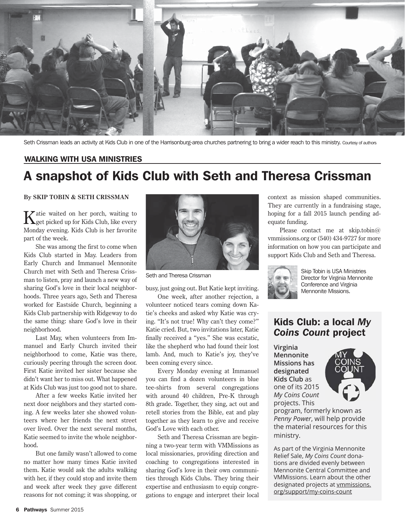

Seth Crissman leads an activity at Kids Club in one of the Harrisonburg-area churches partnering to bring a wider reach to this ministry. Courtesy of authors

#### WALKING WITH USA MINISTRIES

### A snapshot of Kids Club with Seth and Theresa Crissman

#### **By SKIP TOBIN & SETH CRISSMAN**

Katie waited on her porch, waiting to get picked up for Kids Club, like every Monday evening. Kids Club is her favorite part of the week.

She was among the first to come when Kids Club started in May. Leaders from Early Church and Immanuel Mennonite Church met with Seth and Theresa Crissman to listen, pray and launch a new way of sharing God's love in their local neighborhoods. Three years ago, Seth and Theresa worked for Eastside Church, beginning a Kids Club partnership with Ridgeway to do the same thing: share God's love in their neighborhood.

Last May, when volunteers from Immanuel and Early Church invited their neighborhood to come, Katie was there, curiously peering through the screen door. First Katie invited her sister because she didn't want her to miss out. What happened at Kids Club was just too good not to share.

After a few weeks Katie invited her next door neighbors and they started coming. A few weeks later she showed volunteers where her friends the next street over lived. Over the next several months, Katie seemed to invite the whole neighborhood.

But one family wasn't allowed to come no matter how many times Katie invited them. Katie would ask the adults walking with her, if they could stop and invite them and week after week they gave different reasons for not coming; it was shopping, or



Seth and Theresa Crissman

busy, just going out. But Katie kept inviting.

One week, after another rejection, a volunteer noticed tears coming down Katie's cheeks and asked why Katie was crying. "It's not true! Why can't they come?" Katie cried. But, two invitations later, Katie finally received a "yes." She was ecstatic, like the shepherd who had found their lost lamb. And, much to Katie's joy, they've been coming every since.

Every Monday evening at Immanuel you can find a dozen volunteers in blue tee-shirts from several congregations with around 40 children, Pre-K through 8th grade. Together, they sing, act out and retell stories from the Bible, eat and play together as they learn to give and receive God's Love with each other.

Seth and Theresa Crissman are beginning a two-year term with VMMissions as local missionaries, providing direction and coaching to congregations interested in sharing God's love in their own communities through Kids Clubs. They bring their expertise and enthusiasm to equip congregations to engage and interpret their local

context as mission shaped communities. They are currently in a fundraising stage, hoping for a fall 2015 launch pending adequate funding.

Please contact me at skip.tobin@ vmmissions.org or (540) 434-9727 for more information on how you can participate and support Kids Club and Seth and Theresa.



Skip Tobin is USA Ministries Director for Virginia Mennonite Conference and Virginia Mennonite Missions.

### Kids Club: a local *My Coins Count* project

**Virginia Mennonite Missions has designated Kids Club** as one of its 2015 *My Coins Count* projects. This



program, formerly known as *Penny Power*, will help provide the material resources for this ministry.

As part of the Virginia Mennonite Relief Sale, *My Coins Count* donations are divided evenly between Mennonite Central Committee and VMMissions. Learn about the other designated projects at vmmissions. org/support/my-coins-count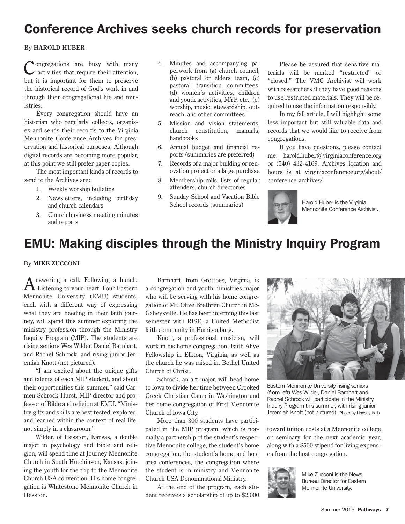### Conference Archives seeks church records for preservation

#### **By HAROLD HUBER**

Congregations are busy with many activities that require their attention, but it is important for them to preserve the historical record of God's work in and through their congregational life and ministries.

Every congregation should have an historian who regularly collects, organizes and sends their records to the Virginia Mennonite Conference Archives for preservation and historical purposes. Although digital records are becoming more popular, at this point we still prefer paper copies.

The most important kinds of records to send to the Archives are:

- 1. Weekly worship bulletins
- 2. Newsletters, including birthday and church calendars
- 3. Church business meeting minutes and reports
- 4. Minutes and accompanying paperwork from (a) church council, (b) pastoral or elders team, (c) pastoral transition committees, (d) women's activities, children and youth activities, MYF, etc., (e) worship, music, stewardship, outreach, and other committees
- 5. Mission and vision statements, church constitution, manuals, handbooks
- 6. Annual budget and financial reports (summaries are preferred)
- 7. Records of a major building or renovation project or a large purchase
- 8. Membership rolls, lists of regular attenders, church directories
- 9. Sunday School and Vacation Bible School records (summaries)

Please be assured that sensitive materials will be marked "restricted" or "closed." The VMC Archivist will work with researchers if they have good reasons to use restricted materials. They will be required to use the information responsibly.

In my fall article, I will highlight some less important but still valuable data and records that we would like to receive from congregations.

If you have questions, please contact me: harold.huber@virginiaconference.org or (540) 432-4169. Archives location and hours is at virginiaconference.org/about/ conference-archives/.



Harold Huber is the Virginia Mennonite Conference Archivist.

### EMU: Making disciples through the Ministry Inquiry Program

#### **By MIKE ZUCCONI**

Answering a call. Following a hunch. Listening to your heart. Four Eastern Mennonite University (EMU) students, each with a different way of expressing what they are heeding in their faith journey, will spend this summer exploring the ministry profession through the Ministry Inquiry Program (MIP). The students are rising seniors Wes Wilder, Daniel Barnhart, and Rachel Schrock, and rising junior Jeremiah Knott (not pictured).

"I am excited about the unique gifts and talents of each MIP student, and about their opportunities this summer," said Carmen Schrock-Hurst, MIP director and professor of Bible and religion at EMU. "Ministry gifts and skills are best tested, explored, and learned within the context of real life, not simply in a classroom."

Wilder, of Hesston, Kansas, a double major in psychology and Bible and religion, will spend time at Journey Mennonite Church in South Hutchinson, Kansas, joining the youth for the trip to the Mennonite Church USA convention. His home congregation is Whitestone Mennonite Church in Hesston.

Barnhart, from Grottoes, Virginia, is a congregation and youth ministries major who will be serving with his home congregation of Mt. Olive Brethren Church in Mc-Gaheysville. He has been interning this last semester with RISE, a United Methodist faith community in Harrisonburg.

Knott, a professional musician, will work in his home congregation, Faith Alive Fellowship in Elkton, Virginia, as well as the church he was raised in, Bethel United Church of Christ.

Schrock, an art major, will head home to Iowa to divide her time between Crooked Creek Christian Camp in Washington and her home congregation of First Mennonite Church of Iowa City.

More than 300 students have participated in the MIP program, which is normally a partnership of the student's respective Mennonite college, the student's home congregation, the student's home and host area conferences, the congregation where the student is in ministry and Mennonite Church USA Denominational Ministry.

At the end of the program, each student receives a scholarship of up to \$2,000



Eastern Mennonite University rising seniors (from left) Wes Wilder, Daniel Barnhart and Rachel Schrock will participate in the Ministry Inquiry Program this summer, with rising junior Jeremiah Knott (not pictured). Photo by Lindsey Kolb

toward tuition costs at a Mennonite college or seminary for the next academic year, along with a \$500 stipend for living expenses from the host congregation.



Mike Zucconi is the News Bureau Director for Eastern Mennonite University.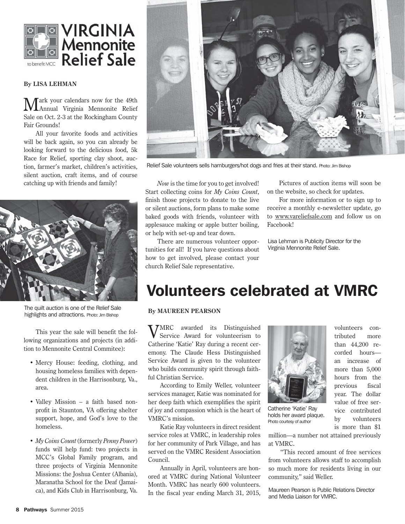

#### **By LISA LEHMAN**

Mark your calendars now for the 49th Annual Virginia Mennonite Relief Sale on Oct. 2-3 at the Rockingham County Fair Grounds!

All your favorite foods and activities will be back again, so you can already be looking forward to the delicious food, 5k Race for Relief, sporting clay shoot, auction, farmer's market, children's activities, silent auction, craft items, and of course catching up with friends and family!



The quilt auction is one of the Relief Sale highlights and attractions. Photo: Jim Bishop

This year the sale will benefit the following organizations and projects (in addition to Mennonite Central Commitee):

- Mercy House: feeding, clothing, and housing homeless families with dependent children in the Harrisonburg, Va., area.
- Valley Mission a faith based nonprofit in Staunton, VA offering shelter support, hope, and God's love to the homeless.
- *My Coins Count* (formerly *Penny Power*) funds will help fund: two projects in MCC's Global Family program, and three projects of Virginia Mennonite Missions: the Joshua Center (Albania), Maranatha School for the Deaf (Jamaica), and Kids Club in Harrisonburg, Va.



Relief Sale volunteers sells hamburgers/hot dogs and fries at their stand. Photo: Jim Bishop

*Now* is the time for you to get involved! Start collecting coins for *My Coins Count*, finish those projects to donate to the live or silent auctions, form plans to make some baked goods with friends, volunteer with applesauce making or apple butter boiling, or help with set-up and tear down.

There are numerous volunteer opportunities for all! If you have questions about how to get involved, please contact your church Relief Sale representative.

Pictures of auction items will soon be on the website, so check for updates.

For more information or to sign up to receive a monthly e-newsletter update, go to www.vareliefsale.com and follow us on Facebook!

Lisa Lehman is Publicity Director for the Virginia Mennonite Relief Sale.

# Volunteers celebrated at VMRC

#### **By MAUREEN PEARSON**

**TMRC** awarded its Distinguished Service Award for volunteerism to Catherine 'Katie' Ray during a recent ceremony. The Claude Hess Distinguished Service Award is given to the volunteer who builds community spirit through faithful Christian Service.

According to Emily Weller, volunteer services manager, Katie was nominated for her deep faith which exemplifies the spirit of joy and compassion which is the heart of VMRC's mission.

Katie Ray volunteers in direct resident service roles at VMRC, in leadership roles for her community of Park Village, and has served on the VMRC Resident Association Council.

Annually in April, volunteers are honored at VMRC during National Volunteer Month. VMRC has nearly 600 volunteers. In the fiscal year ending March 31, 2015,



Catherine 'Katie' Ray holds her award plaque. Photo courtesy of author

volunteers contributed more than 44,200 recorded hours an increase of more than 5,000 hours from the previous fiscal year. The dollar value of free service contributed by volunteers is more than \$1

million—a number not attained previously at VMRC.

"This record amount of free services from volunteers allows staff to accomplish so much more for residents living in our community," said Weller.

Maureen Pearson is Public Relations Director and Media Liaison for VMRC.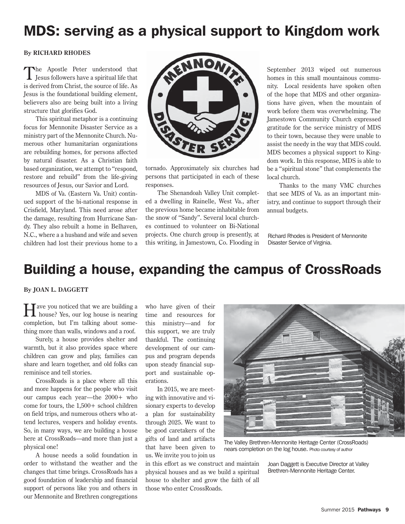# MDS: serving as a physical support to Kingdom work

#### **By RICHARD RHODES**

The Apostle Peter understood that  $\perp$  Jesus followers have a spiritual life that is derived from Christ, the source of life. As Jesus is the foundational building element, believers also are being built into a living structure that glorifies God.

This spiritual metaphor is a continuing focus for Mennonite Disaster Service as a ministry part of the Mennonite Church. Numerous other humanitarian organizations are rebuilding homes, for persons affected by natural disaster. As a Christian faith based organization, we attempt to "respond, restore and rebuild" from the life-giving resources of Jesus, our Savior and Lord.

MDS of Va. (Eastern Va. Unit) continued support of the bi-national response in Crisfield, Maryland. This need arose after the damage, resulting from Hurricane Sandy. They also rebuilt a home in Belhaven, N.C., where a a husband and wife and seven children had lost their previous home to a



tornado. Approximately six churches had persons that participated in each of these responses.

The Shenandoah Valley Unit completed a dwelling in Rainelle, West Va., after the previous home became inhabitable from the snow of "Sandy". Several local churches continued to volunteer on Bi-National projects. One church group is presently, at this writing, in Jamestown, Co. Flooding in September 2013 wiped out numerous homes in this small mountainous community. Local residents have spoken often of the hope that MDS and other organizations have given, when the mountain of work before them was overwhelming. The Jamestown Community Church expressed gratitude for the service ministry of MDS to their town, because they were unable to assist the needy in the way that MDS could. MDS becomes a physical support to Kingdom work. In this response, MDS is able to be a "spiritual stone" that complements the local church.

Thanks to the many VMC churches that see MDS of Va. as an important ministry, and continue to support through their annual budgets.

Richard Rhodes is President of Mennonite Disaster Service of Virginia.

### Building a house, expanding the campus of CrossRoads

#### **By JOAN L. DAGGETT**

Have you noticed that we are building a house? Yes, our log house is nearing completion, but I'm talking about something more than walls, windows and a roof.

Surely, a house provides shelter and warmth, but it also provides space where children can grow and play, families can share and learn together, and old folks can reminisce and tell stories.

CrossRoads is a place where all this and more happens for the people who visit our campus each year—the 2000+ who come for tours, the  $1,500+$  school children on field trips, and numerous others who attend lectures, vespers and holiday events. So, in many ways, we are building a house here at CrossRoads—and more than just a physical one!

A house needs a solid foundation in order to withstand the weather and the changes that time brings. CrossRoads has a good foundation of leadership and financial support of persons like you and others in our Mennonite and Brethren congregations

who have given of their time and resources for this ministry—and for this support, we are truly thankful. The continuing development of our campus and program depends upon steady financial support and sustainable operations.

In 2015, we are meeting with innovative and visionary experts to develop a plan for sustainability through 2025. We want to be good caretakers of the gifts of land and artifacts that have been given to us. We invite you to join us

in this effort as we construct and maintain physical houses and as we build a spiritual house to shelter and grow the faith of all those who enter CrossRoads.



The Valley Brethren-Mennonite Heritage Center (CrossRoads) nears completion on the log house. Photo courtesy of author

Joan Daggett is Executive Director at Valley Brethren-Mennonite Heritage Center.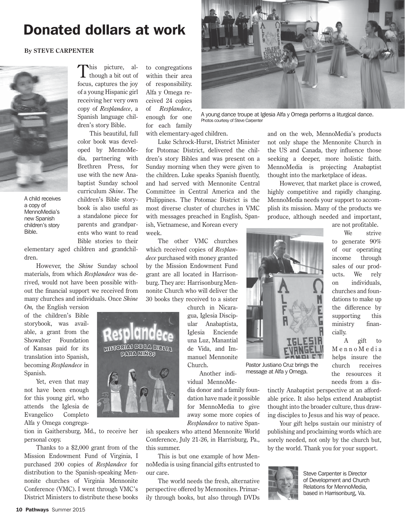### Donated dollars at work

#### **By STEVE CARPENTER**



A child receives a copy of MennoMedia's new Spanish children's story Bible.

This picture, al-<br>though a bit out of focus, captures the joy of a young Hispanic girl receiving her very own copy of *Resplandece*, a Spanish language children's story Bible.

This beautiful, full color book was developed by MennoMedia, partnering with Brethren Press, for use with the new Anabaptist Sunday school curriculum *Shine*. The children's Bible storybook is also useful as a standalone piece for parents and grandparents who want to read Bible stories to their

elementary aged children and grandchildren.

However, the *Shine* Sunday school materials, from which *Resplandece* was derived, would not have been possible without the financial support we received from many churches and individuals. Once *Shine* 

*On,* the English version of the children's Bible storybook, was available, a grant from the Showalter Foundation of Kansas paid for its translation into Spanish, becoming *Resplandece* in Spanish.

Yet, even that may not have been enough for this young girl, who attends the Iglesia de Evangelico Completo Alfa y Omega congrega-

tion in Gaithersburg, Md., to receive her personal copy.

Thanks to a \$2,000 grant from of the Mission Endowment Fund of Virginia, I purchased 200 copies of *Resplandece* for distribution to the Spanish-speaking Mennonite churches of Virginia Mennonite Conference (VMC). I went through VMC's District Ministers to distribute these books to congregations within their area of responsibility. Alfa y Omega received 24 copies of *Resplandece*, enough for one for each family

with elementary-aged children.

Luke Schrock-Hurst, District Minister for Potomac District, delivered the children's story Bibles and was present on a Sunday morning when they were given to the children. Luke speaks Spanish fluently, and had served with Mennonite Central Committee in Central America and the Philippines. The Potomac District is the most diverse cluster of churches in VMC with messages preached in English, Spanish, Vietnamese, and Korean every week.

The other VMC churches which received copies of *Resplandece* purchased with money granted by the Mission Endowment Fund grant are all located in Harrisonburg. They are: Harrisonburg Mennonite Church who will deliver the 30 books they received to a sister

> church in Nicaragua, Iglesia Discipular Anabaptista, Iglesia Enciende una Luz, Manantial de Vida, and Immanuel Mennonite Church.

Another individual MennoMe-

dia donor and a family foundation have made it possible for MennoMedia to give away some more copies of *Resplandece* to native Span-

ish speakers who attend Mennonite World Conference, July 21-26, in Harrisburg, Pa., this summer.

This is but one example of how MennoMedia is using financial gifts entrusted to our care.

The world needs the fresh, alternative perspective offered by Mennonites. Primarily through books, but also through DVDs



A young dance troupe at Iglesia Alfa y Omega performs a liturgical dance. Photos courtesy of Steve Carpenter

and on the web, MennoMedia's products not only shape the Mennonite Church in the US and Canada, they influence those seeking a deeper, more holistic faith. MennoMedia is projecting Anabaptist thought into the marketplace of ideas.

However, that market place is crowed, highly competitive and rapidly changing. MennoMedia needs your support to accomplish its mission. Many of the products we produce, although needed and important,

> are not profitable. We strive to generate 90% of our operating income through sales of our products. We rely on individuals, churches and foundations to make up the difference by supporting this ministry finan-



Pastor Justiano Cruz brings the message at Alfa y Omega.

needs from a distinctly Anabaptist perspective at an affordable price. It also helps extend Anabaptist thought into the broader culture, thus drawing disciples to Jesus and his way of peace.

cially.

A gift to Menno Media helps insure the church receives the resources it

Your gift helps sustain our ministry of publishing and proclaiming words which are sorely needed, not only by the church but, by the world. Thank you for your support.



Steve Carpenter is Director of Development and Church Relations for MennoMedia, based in Harrisonburg, Va.

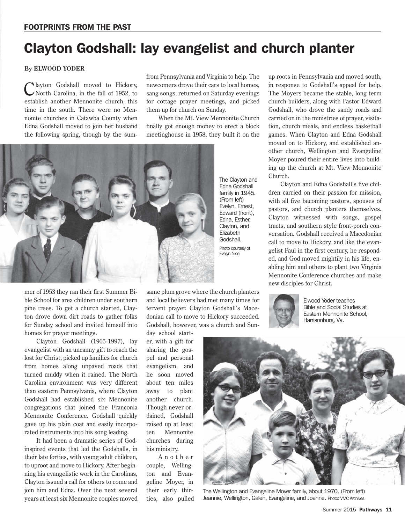# Clayton Godshall: lay evangelist and church planter

#### **By ELWOOD YODER**

Clayton Godshall moved to Hickory, North Carolina, in the fall of 1952, to establish another Mennonite church, this time in the south. There were no Mennonite churches in Catawba County when Edna Godshall moved to join her husband the following spring, though by the sumfrom Pennsylvania and Virginia to help. The newcomers drove their cars to local homes, sang songs, returned on Saturday evenings for cottage prayer meetings, and picked them up for church on Sunday.

When the Mt. View Mennonite Church finally got enough money to erect a block meetinghouse in 1958, they built it on the



mer of 1953 they ran their first Summer Bible School for area children under southern pine trees. To get a church started, Clayton drove down dirt roads to gather folks for Sunday school and invited himself into homes for prayer meetings.

Clayton Godshall (1905-1997), lay evangelist with an uncanny gift to reach the lost for Christ, picked up families for church from homes along unpaved roads that turned muddy when it rained. The North Carolina environment was very different than eastern Pennsylvania, where Clayton Godshall had established six Mennonite congregations that joined the Franconia Mennonite Conference. Godshall quickly gave up his plain coat and easily incorporated instruments into his song leading.

It had been a dramatic series of Godinspired events that led the Godshalls, in their late forties, with young adult children, to uproot and move to Hickory. After beginning his evangelistic work in the Carolinas, Clayton issued a call for others to come and join him and Edna. Over the next several years at least six Mennonite couples moved

same plum grove where the church planters and local believers had met many times for fervent prayer. Clayton Godshall's Macedonian call to move to Hickory succeeded. Godshall, however, was a church and Sun-

day school starter, with a gift for sharing the gospel and personal evangelism, and he soon moved about ten miles away to plant another church. Though never ordained, Godshall raised up at least ten Mennonite churches during his ministry.

A n o t h e r couple, Wellington and Evangeline Moyer, in their early thirties, also pulled up roots in Pennsylvania and moved south, in response to Godshall's appeal for help. The Moyers became the stable, long term church builders, along with Pastor Edward Godshall, who drove the sandy roads and carried on in the ministries of prayer, visitation, church meals, and endless basketball games. When Clayton and Edna Godshall moved on to Hickory, and established another church, Wellington and Evangeline Moyer poured their entire lives into building up the church at Mt. View Mennonite Church.

Clayton and Edna Godshall's five children carried on their passion for mission, with all five becoming pastors, spouses of pastors, and church planters themselves. Clayton witnessed with songs, gospel tracts, and southern style front-porch conversation. Godshall received a Macedonian call to move to Hickory, and like the evangelist Paul in the first century, he responded, and God moved mightily in his life, enabling him and others to plant two Virginia Mennonite Conference churches and make new disciples for Christ.



Elwood Yoder teaches Bible and Social Studies at Eastern Mennonite School, Harrisonburg, Va.



The Wellington and Evangeline Moyer family, about 1970. (From left) Jeannie, Wellington, Galen, Evangeline, and Joanne. Photo: VMC Archives